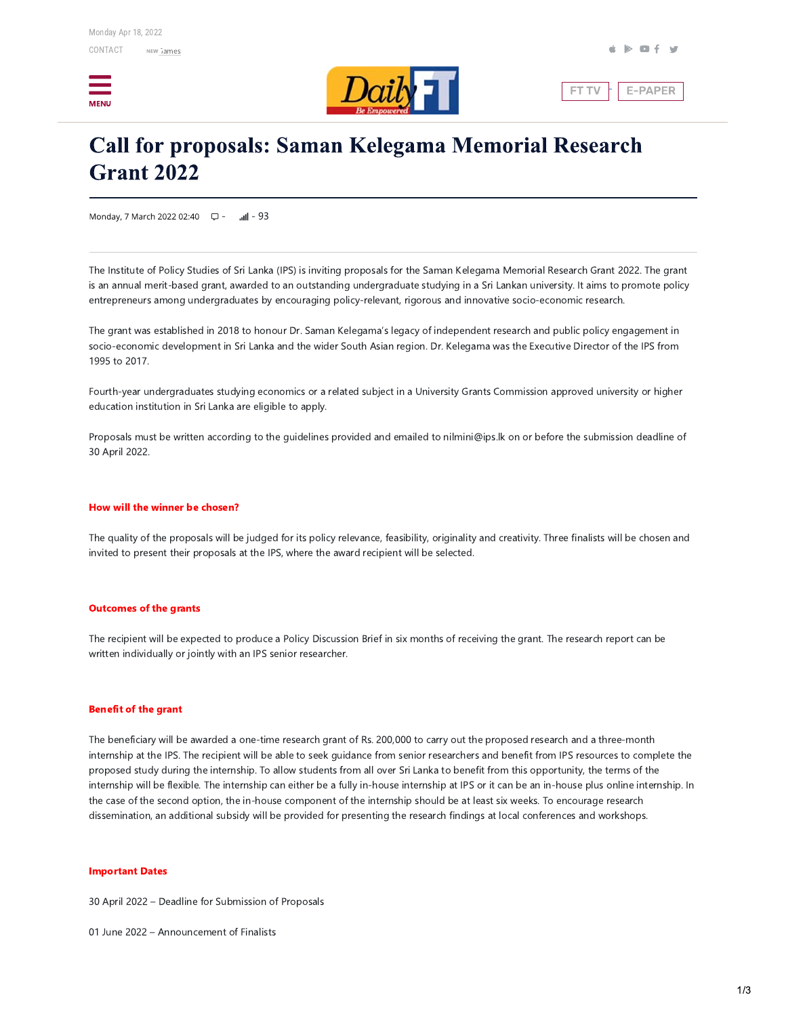



**FT TV** E-PAPER

# **Call for proposals: Saman Kelegama Memorial Research Grant 2022**

Monday, 7 March 2022 02:40 ロー  $mI - 93$ 

The Institute of Policy Studies of Sri Lanka (IPS) is inviting proposals for the Saman Kelegama Memorial Research Grant 2022. The grant is an annual merit-based grant, awarded to an outstanding undergraduate studying in a Sri Lankan university. It aims to promote policy entrepreneurs among undergraduates by encouraging policy-relevant, rigorous and innovative socio-economic research.

The grant was established in 2018 to honour Dr. Saman Kelegama's legacy of independent research and public policy engagement in socio-economic development in Sri Lanka and the wider South Asian region. Dr. Kelegama was the Executive Director of the IPS from 1995 to 2017.

Fourth-year undergraduates studying economics or a related subject in a University Grants Commission approved university or higher education institution in Sri Lanka are eligible to apply.

Proposals must be written according to the quidelines provided and emailed to nilmini@ips.lk on or before the submission deadline of 30 April 2022.

### How will the winner be chosen?

The quality of the proposals will be judged for its policy relevance, feasibility, originality and creativity. Three finalists will be chosen and invited to present their proposals at the IPS, where the award recipient will be selected.

## **Outcomes of the grants**

The recipient will be expected to produce a Policy Discussion Brief in six months of receiving the grant. The research report can be written individually or jointly with an IPS senior researcher.

#### **Benefit of the grant**

The beneficiary will be awarded a one-time research grant of Rs. 200,000 to carry out the proposed research and a three-month internship at the IPS. The recipient will be able to seek guidance from senior researchers and benefit from IPS resources to complete the proposed study during the internship. To allow students from all over Sri Lanka to benefit from this opportunity, the terms of the internship will be flexible. The internship can either be a fully in-house internship at IPS or it can be an in-house plus online internship. In the case of the second option, the in-house component of the internship should be at least six weeks. To encourage research dissemination, an additional subsidy will be provided for presenting the research findings at local conferences and workshops.

#### **Important Dates**

30 April 2022 - Deadline for Submission of Proposals

01 June 2022 - Announcement of Finalists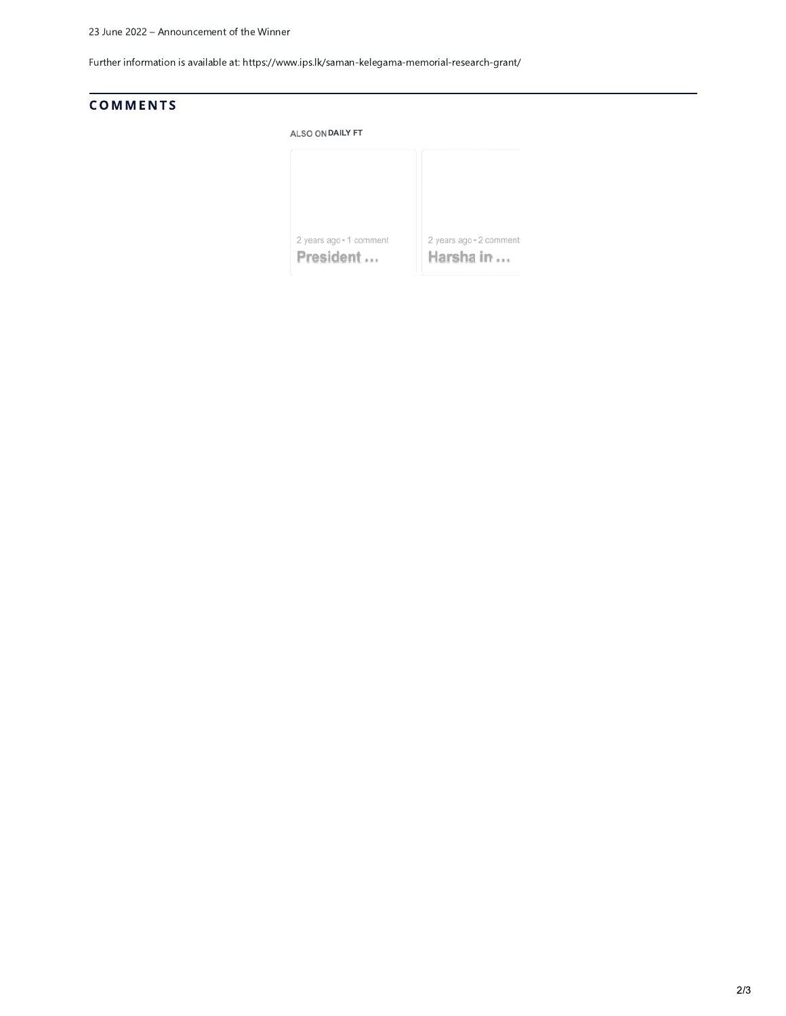Further information is available at: https://www.ips.lk/saman-kelegama-memorial-research-grant/

# **COMMENTS**